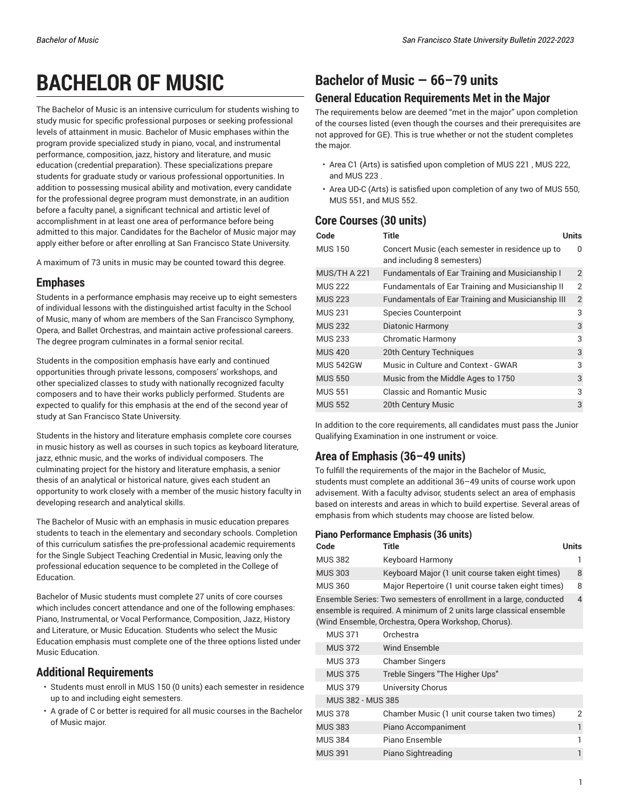# **BACHELOR OF MUSIC**

The Bachelor of Music is an intensive curriculum for students wishing to study music for specific professional purposes or seeking professional levels of attainment in music. Bachelor of Music emphases within the program provide specialized study in piano, vocal, and instrumental performance, composition, jazz, history and literature, and music education (credential preparation). These specializations prepare students for graduate study or various professional opportunities. In addition to possessing musical ability and motivation, every candidate for the professional degree program must demonstrate, in an audition before a faculty panel, a significant technical and artistic level of accomplishment in at least one area of performance before being admitted to this major. Candidates for the Bachelor of Music major may apply either before or after enrolling at San Francisco State University.

A maximum of 73 units in music may be counted toward this degree.

### **Emphases**

Students in a performance emphasis may receive up to eight semesters of individual lessons with the distinguished artist faculty in the School of Music, many of whom are members of the San Francisco Symphony, Opera, and Ballet Orchestras, and maintain active professional careers. The degree program culminates in a formal senior recital.

Students in the composition emphasis have early and continued opportunities through private lessons, composers' workshops, and other specialized classes to study with nationally recognized faculty composers and to have their works publicly performed. Students are expected to qualify for this emphasis at the end of the second year of study at San Francisco State University.

Students in the history and literature emphasis complete core courses in music history as well as courses in such topics as keyboard literature, jazz, ethnic music, and the works of individual composers. The culminating project for the history and literature emphasis, a senior thesis of an analytical or historical nature, gives each student an opportunity to work closely with a member of the music history faculty in developing research and analytical skills.

The Bachelor of Music with an emphasis in music education prepares students to teach in the elementary and secondary schools. Completion of this curriculum satisfies the pre-professional academic requirements for the Single Subject Teaching Credential in Music, leaving only the professional education sequence to be completed in the College of Education.

Bachelor of Music students must complete 27 units of core courses which includes concert attendance and one of the following emphases: Piano, Instrumental, or Vocal Performance, Composition, Jazz, History and Literature, or Music Education. Students who select the Music Education emphasis must complete one of the three options listed under Music Education.

### **Additional Requirements**

- Students must enroll in MUS 150 (0 units) each semester in residence up to and including eight semesters.
- A grade of C or better is required for all music courses in the Bachelor of Music major.

# **Bachelor of Music — 66–79 units**

### **General Education Requirements Met in the Major**

The requirements below are deemed "met in the major" upon completion of the courses listed (even though the courses and their prerequisites are not approved for GE). This is true whether or not the student completes the major.

- Area C1 (Arts) is satisfied upon completion of MUS 221 , MUS 222, and MUS 223 .
- Area UD-C (Arts) is satisfied upon completion of any two of MUS 550, MUS 551, and MUS 552.

### **Core Courses (30 units)**

| <b>Title</b>                                                                  | Units          |
|-------------------------------------------------------------------------------|----------------|
| Concert Music (each semester in residence up to<br>and including 8 semesters) | 0              |
| <b>Fundamentals of Ear Training and Musicianship I</b>                        | 2              |
| <b>Fundamentals of Ear Training and Musicianship II</b>                       | $\overline{2}$ |
| Fundamentals of Ear Training and Musicianship III                             | 2              |
| <b>Species Counterpoint</b>                                                   | 3              |
| Diatonic Harmony                                                              | 3              |
| <b>Chromatic Harmony</b>                                                      | 3              |
| 20th Century Techniques                                                       | 3              |
| Music in Culture and Context - GWAR                                           | 3              |
| Music from the Middle Ages to 1750                                            | 3              |
| Classic and Romantic Music                                                    | 3              |
| 20th Century Music                                                            | 3              |
|                                                                               |                |

In addition to the core requirements, all candidates must pass the Junior Qualifying Examination in one instrument or voice.

### **Area of Emphasis (36–49 units)**

To fulfill the requirements of the major in the Bachelor of Music, students must complete an additional 36–49 units of course work upon advisement. With a faculty advisor, students select an area of emphasis based on interests and areas in which to build expertise. Several areas of emphasis from which students may choose are listed below.

#### **Piano Performance Emphasis (36 units)**

| Code           | Title                                                                                                                                     | <b>Units</b> |  |
|----------------|-------------------------------------------------------------------------------------------------------------------------------------------|--------------|--|
| <b>MUS 382</b> | <b>Keyboard Harmony</b>                                                                                                                   |              |  |
| <b>MUS 303</b> | Keyboard Major (1 unit course taken eight times)                                                                                          | 8            |  |
| <b>MUS 360</b> | Major Repertoire (1 unit course taken eight times)                                                                                        | 8            |  |
|                | Ensemble Series: Two semesters of enrollment in a large, conducted<br>ensemble is required. A minimum of 2 units large classical ensemble | 4            |  |

(Wind Ensemble, Orchestra, Opera Workshop, Chorus).

| <b>MUS 371</b>    | Orchestra                                     |   |
|-------------------|-----------------------------------------------|---|
| <b>MUS 372</b>    | Wind Ensemble                                 |   |
| <b>MUS 373</b>    | <b>Chamber Singers</b>                        |   |
| <b>MUS 375</b>    | Treble Singers "The Higher Ups"               |   |
| <b>MUS 379</b>    | University Chorus                             |   |
| MUS 382 - MUS 385 |                                               |   |
| <b>MUS 378</b>    | Chamber Music (1 unit course taken two times) | 2 |
| <b>MUS 383</b>    | Piano Accompaniment                           | 1 |
| <b>MUS 384</b>    | Piano Ensemble                                |   |
| <b>MUS 391</b>    | Piano Sightreading                            | 1 |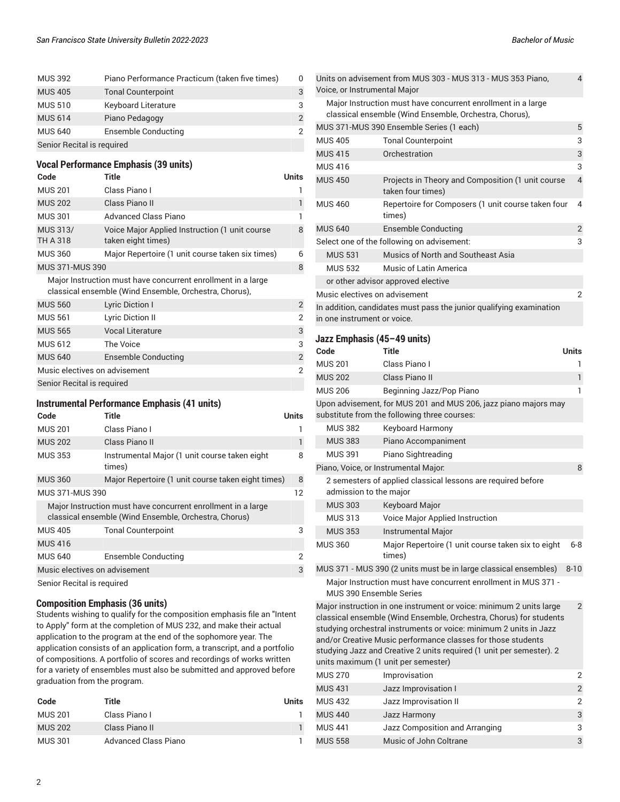| <b>MUS 392</b>             | Piano Performance Practicum (taken five times) | 0 |  |
|----------------------------|------------------------------------------------|---|--|
| <b>MUS 405</b>             | <b>Tonal Counterpoint</b>                      | 3 |  |
| <b>MUS 510</b>             | <b>Keyboard Literature</b>                     | 3 |  |
| <b>MUS 614</b>             | Piano Pedagogy                                 | 2 |  |
| <b>MUS 640</b>             | Ensemble Conducting                            | 2 |  |
| Senior Recital is required |                                                |   |  |

#### **Vocal Performance Emphasis (39 units)**

| Code                          | Title                                                                                                                  | Units          |
|-------------------------------|------------------------------------------------------------------------------------------------------------------------|----------------|
| <b>MUS 201</b>                | Class Piano I                                                                                                          |                |
| <b>MUS 202</b>                | Class Piano II                                                                                                         |                |
| <b>MUS 301</b>                | <b>Advanced Class Piano</b>                                                                                            |                |
| MUS 313/<br>TH A 318          | Voice Major Applied Instruction (1 unit course<br>taken eight times)                                                   | 8              |
| <b>MUS 360</b>                | Major Repertoire (1 unit course taken six times)                                                                       | 6              |
| <b>MUS 371-MUS 390</b>        |                                                                                                                        | 8              |
|                               | Major Instruction must have concurrent enrollment in a large<br>classical ensemble (Wind Ensemble, Orchestra, Chorus), |                |
| <b>MUS 560</b>                | Lyric Diction I                                                                                                        | $\overline{2}$ |
| <b>MUS 561</b>                | Lyric Diction II                                                                                                       | 2              |
| <b>MUS 565</b>                | <b>Vocal Literature</b>                                                                                                | 3              |
| <b>MUS 612</b>                | The Voice                                                                                                              | 3              |
| <b>MUS 640</b>                | Ensemble Conducting                                                                                                    | $\overline{2}$ |
| Music electives on advisement |                                                                                                                        | $\overline{2}$ |

Senior Recital is required

#### **Instrumental Performance Emphasis (41 units)**

| Code                          | <b>Title</b>                                                                                                          | Units |
|-------------------------------|-----------------------------------------------------------------------------------------------------------------------|-------|
| <b>MUS 201</b>                | Class Piano I                                                                                                         |       |
| <b>MUS 202</b>                | Class Piano II                                                                                                        |       |
| <b>MUS 353</b>                | Instrumental Major (1 unit course taken eight<br>times)                                                               | 8     |
| <b>MUS 360</b>                | Major Repertoire (1 unit course taken eight times)                                                                    | 8     |
| MUS 371-MUS 390               |                                                                                                                       | 12    |
|                               | Major Instruction must have concurrent enrollment in a large<br>classical ensemble (Wind Ensemble, Orchestra, Chorus) |       |
| <b>MUS 405</b>                | <b>Tonal Counterpoint</b>                                                                                             | 3     |
| <b>MUS 416</b>                |                                                                                                                       |       |
| <b>MUS 640</b>                | Ensemble Conducting                                                                                                   | 2     |
| Music electives on advisement |                                                                                                                       | 3     |
| Senior Recital is required    |                                                                                                                       |       |

Senior Recital is required

#### **Composition Emphasis (36 units)**

Students wishing to qualify for the composition emphasis file an "Intent to Apply" form at the completion of MUS 232, and make their actual application to the program at the end of the sophomore year. The application consists of an application form, a transcript, and a portfolio of compositions. A portfolio of scores and recordings of works written for a variety of ensembles must also be submitted and approved before graduation from the program.

| Code           | Title                | Units |
|----------------|----------------------|-------|
| <b>MUS 201</b> | Class Piano I        |       |
| <b>MUS 202</b> | Class Piano II       |       |
| MUS 301        | Advanced Class Piano |       |

| Units on advisement from MUS 303 - MUS 313 - MUS 353 Piano,<br>Voice, or Instrumental Major        |                                                                                                                        |                          |  |
|----------------------------------------------------------------------------------------------------|------------------------------------------------------------------------------------------------------------------------|--------------------------|--|
|                                                                                                    | Major Instruction must have concurrent enrollment in a large<br>classical ensemble (Wind Ensemble, Orchestra, Chorus), |                          |  |
|                                                                                                    | MUS 371-MUS 390 Ensemble Series (1 each)                                                                               | 5                        |  |
| <b>MUS 405</b>                                                                                     | <b>Tonal Counterpoint</b>                                                                                              | 3                        |  |
| <b>MUS 415</b>                                                                                     | Orchestration                                                                                                          | 3                        |  |
| <b>MUS 416</b>                                                                                     |                                                                                                                        | 3                        |  |
| <b>MUS 450</b>                                                                                     | Projects in Theory and Composition (1 unit course<br>taken four times)                                                 | $\overline{\mathcal{L}}$ |  |
| <b>MUS 460</b>                                                                                     | Repertoire for Composers (1 unit course taken four<br>times)                                                           | 4                        |  |
| <b>MUS 640</b>                                                                                     | Ensemble Conducting                                                                                                    | 2                        |  |
|                                                                                                    | Select one of the following on advisement:                                                                             | 3                        |  |
| <b>MUS 531</b>                                                                                     | Musics of North and Southeast Asia                                                                                     |                          |  |
| <b>MUS 532</b>                                                                                     | Music of Latin America                                                                                                 |                          |  |
| or other advisor approved elective                                                                 |                                                                                                                        |                          |  |
|                                                                                                    | Music electives on advisement                                                                                          |                          |  |
| In addition, candidates must pass the junior qualifying examination<br>in one instrument or voice. |                                                                                                                        |                          |  |

#### **Jazz Emphasis (45–49 units)**

|                | JAZZ LIIIµIIAJIJ (4JT4J UIIILJ)      |                                                                                                                                                                                                                                                                                                                                                        |                |
|----------------|--------------------------------------|--------------------------------------------------------------------------------------------------------------------------------------------------------------------------------------------------------------------------------------------------------------------------------------------------------------------------------------------------------|----------------|
| Code           | <b>Title</b>                         |                                                                                                                                                                                                                                                                                                                                                        | <b>Units</b>   |
| <b>MUS 201</b> | Class Piano I                        |                                                                                                                                                                                                                                                                                                                                                        | ı              |
| <b>MUS 202</b> | Class Piano II                       |                                                                                                                                                                                                                                                                                                                                                        | 1              |
| <b>MUS 206</b> |                                      | Beginning Jazz/Pop Piano                                                                                                                                                                                                                                                                                                                               | 1              |
|                |                                      | Upon advisement, for MUS 201 and MUS 206, jazz piano majors may<br>substitute from the following three courses:                                                                                                                                                                                                                                        |                |
| <b>MUS 382</b> |                                      | <b>Keyboard Harmony</b>                                                                                                                                                                                                                                                                                                                                |                |
| <b>MUS 383</b> |                                      | Piano Accompaniment                                                                                                                                                                                                                                                                                                                                    |                |
| <b>MUS 391</b> |                                      | Piano Sightreading                                                                                                                                                                                                                                                                                                                                     |                |
|                | Piano, Voice, or Instrumental Major. |                                                                                                                                                                                                                                                                                                                                                        | 8              |
|                | admission to the major               | 2 semesters of applied classical lessons are required before                                                                                                                                                                                                                                                                                           |                |
| <b>MUS 303</b> | <b>Keyboard Major</b>                |                                                                                                                                                                                                                                                                                                                                                        |                |
| <b>MUS 313</b> |                                      | <b>Voice Major Applied Instruction</b>                                                                                                                                                                                                                                                                                                                 |                |
| <b>MUS 353</b> |                                      | <b>Instrumental Major</b>                                                                                                                                                                                                                                                                                                                              |                |
| <b>MUS 360</b> | times)                               | Major Repertoire (1 unit course taken six to eight                                                                                                                                                                                                                                                                                                     | $6-8$          |
|                |                                      | MUS 371 - MUS 390 (2 units must be in large classical ensembles)                                                                                                                                                                                                                                                                                       | $8 - 10$       |
|                | MUS 390 Ensemble Series              | Major Instruction must have concurrent enrollment in MUS 371 -                                                                                                                                                                                                                                                                                         |                |
|                | units maximum (1 unit per semester)  | Major instruction in one instrument or voice: minimum 2 units large<br>classical ensemble (Wind Ensemble, Orchestra, Chorus) for students<br>studying orchestral instruments or voice: minimum 2 units in Jazz<br>and/or Creative Music performance classes for those students<br>studying Jazz and Creative 2 units required (1 unit per semester). 2 | $\mathfrak{D}$ |
|                |                                      |                                                                                                                                                                                                                                                                                                                                                        |                |

| <b>MUS 270</b> | Improvisation                  | 2              |
|----------------|--------------------------------|----------------|
| <b>MUS 431</b> | Jazz Improvisation I           | $\mathfrak{D}$ |
| <b>MUS 432</b> | Jazz Improvisation II          | 2              |
| <b>MUS 440</b> | Jazz Harmony                   | 3              |
| <b>MUS 441</b> | Jazz Composition and Arranging | 3              |
| <b>MUS 558</b> | Music of John Coltrane         | 3              |
|                |                                |                |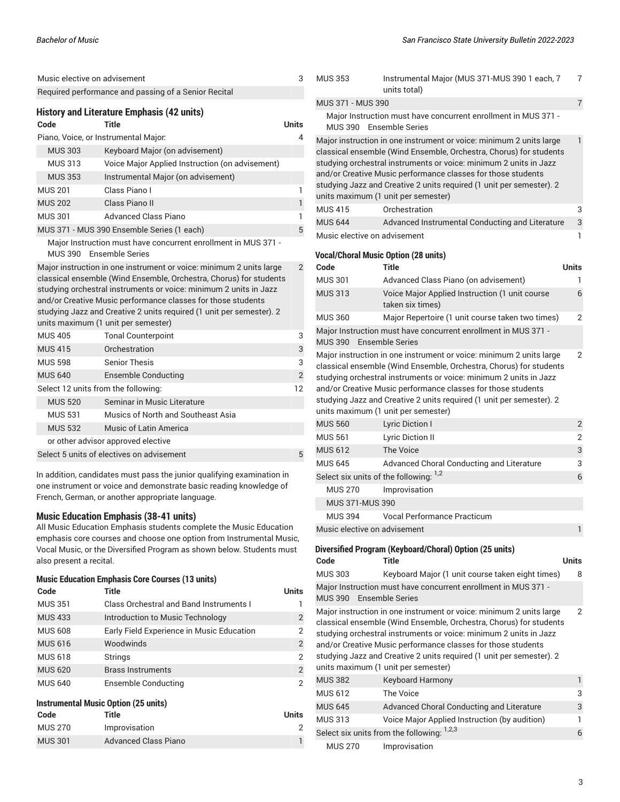|                | Music elective on advisement                                                                                                                                                                                                                                                                                                                                                                  | 3              |
|----------------|-----------------------------------------------------------------------------------------------------------------------------------------------------------------------------------------------------------------------------------------------------------------------------------------------------------------------------------------------------------------------------------------------|----------------|
|                | Required performance and passing of a Senior Recital                                                                                                                                                                                                                                                                                                                                          |                |
| Code           | <b>History and Literature Emphasis (42 units)</b><br>Title                                                                                                                                                                                                                                                                                                                                    | Units          |
|                | Piano, Voice, or Instrumental Major.                                                                                                                                                                                                                                                                                                                                                          | 4              |
| <b>MUS 303</b> | Keyboard Major (on advisement)                                                                                                                                                                                                                                                                                                                                                                |                |
| <b>MUS 313</b> | Voice Major Applied Instruction (on advisement)                                                                                                                                                                                                                                                                                                                                               |                |
| <b>MUS 353</b> | Instrumental Major (on advisement)                                                                                                                                                                                                                                                                                                                                                            |                |
| <b>MUS 201</b> | Class Piano L                                                                                                                                                                                                                                                                                                                                                                                 | 1              |
| <b>MUS 202</b> | Class Piano II                                                                                                                                                                                                                                                                                                                                                                                | $\mathbf{1}$   |
| <b>MUS 301</b> | Advanced Class Piano                                                                                                                                                                                                                                                                                                                                                                          | 1              |
|                | MUS 371 - MUS 390 Ensemble Series (1 each)                                                                                                                                                                                                                                                                                                                                                    | 5              |
| <b>MUS 390</b> | Major Instruction must have concurrent enrollment in MUS 371 -<br><b>Ensemble Series</b>                                                                                                                                                                                                                                                                                                      |                |
|                | Major instruction in one instrument or voice: minimum 2 units large<br>classical ensemble (Wind Ensemble, Orchestra, Chorus) for students<br>studying orchestral instruments or voice: minimum 2 units in Jazz<br>and/or Creative Music performance classes for those students<br>studying Jazz and Creative 2 units required (1 unit per semester). 2<br>units maximum (1 unit per semester) | $\overline{2}$ |
| <b>MUS 405</b> | <b>Tonal Counterpoint</b>                                                                                                                                                                                                                                                                                                                                                                     | 3              |
| <b>MUS 415</b> | Orchestration                                                                                                                                                                                                                                                                                                                                                                                 | 3              |
| <b>MUS 598</b> | <b>Senior Thesis</b>                                                                                                                                                                                                                                                                                                                                                                          | 3              |
| <b>MUS 640</b> | <b>Ensemble Conducting</b>                                                                                                                                                                                                                                                                                                                                                                    | $\overline{2}$ |
|                | Select 12 units from the following:                                                                                                                                                                                                                                                                                                                                                           | 12             |
| <b>MUS 520</b> | Seminar in Music Literature                                                                                                                                                                                                                                                                                                                                                                   |                |
| <b>MUS 531</b> | Musics of North and Southeast Asia                                                                                                                                                                                                                                                                                                                                                            |                |
| <b>MUS 532</b> | Music of Latin America                                                                                                                                                                                                                                                                                                                                                                        |                |
|                | or other advisor approved elective                                                                                                                                                                                                                                                                                                                                                            |                |
|                | Select 5 units of electives on advisement                                                                                                                                                                                                                                                                                                                                                     | 5              |
|                | In addition, candidates must pass the junior qualifying examination in<br>one instrument or voice and demonstrate basic reading knowledge of                                                                                                                                                                                                                                                  |                |

one instrument or voice and demonstrate basic reading knowledge of French, German, or another appropriate language.

#### **Music Education Emphasis (38-41 units)**

All Music Education Emphasis students complete the Music Education emphasis core courses and choose one option from Instrumental Music, Vocal Music, or the Diversified Program as shown below. Students must also present a recital.

#### **Music Education Emphasis Core Courses (13 units)**

| Code                                 | Title                                     | <b>Units</b> |  |
|--------------------------------------|-------------------------------------------|--------------|--|
| <b>MUS 351</b>                       | Class Orchestral and Band Instruments I   |              |  |
| <b>MUS 433</b>                       | Introduction to Music Technology          | 2            |  |
| <b>MUS 608</b>                       | Early Field Experience in Music Education | 2            |  |
| <b>MUS 616</b>                       | Woodwinds                                 | 2            |  |
| <b>MUS 618</b>                       | <b>Strings</b>                            | 2            |  |
| <b>MUS 620</b>                       | <b>Brass Instruments</b>                  | 2            |  |
| <b>MUS 640</b>                       | Ensemble Conducting                       | 2            |  |
| Instrumental Music Option (25 units) |                                           |              |  |

| Code           | Title                       | Units |
|----------------|-----------------------------|-------|
| MUS 270        | Improvisation               |       |
| <b>MUS 301</b> | <b>Advanced Class Piano</b> |       |

| <b>MUS 353</b>               | Instrumental Major (MUS 371-MUS 390 1 each, 7<br>units total)                                                                                                                                                                                                                                                                                                                                 | $\overline{7}$ |
|------------------------------|-----------------------------------------------------------------------------------------------------------------------------------------------------------------------------------------------------------------------------------------------------------------------------------------------------------------------------------------------------------------------------------------------|----------------|
| MUS 371 - MUS 390            |                                                                                                                                                                                                                                                                                                                                                                                               | $\overline{7}$ |
| MUS 390                      | Major Instruction must have concurrent enrollment in MUS 371 -<br><b>Ensemble Series</b>                                                                                                                                                                                                                                                                                                      |                |
|                              | Major instruction in one instrument or voice: minimum 2 units large<br>classical ensemble (Wind Ensemble, Orchestra, Chorus) for students<br>studying orchestral instruments or voice: minimum 2 units in Jazz<br>and/or Creative Music performance classes for those students<br>studying Jazz and Creative 2 units required (1 unit per semester). 2<br>units maximum (1 unit per semester) | $\mathbf{1}$   |
| <b>MUS 415</b>               | Orchestration                                                                                                                                                                                                                                                                                                                                                                                 | 3              |
| <b>MUS 644</b>               | Advanced Instrumental Conducting and Literature                                                                                                                                                                                                                                                                                                                                               | 3              |
| Music elective on advisement |                                                                                                                                                                                                                                                                                                                                                                                               | 1              |
|                              | <b>Vocal/Choral Music Option (28 units)</b>                                                                                                                                                                                                                                                                                                                                                   |                |
| Code<br><b>MUS 301</b>       | Title                                                                                                                                                                                                                                                                                                                                                                                         | Units<br>1     |
| <b>MUS 313</b>               | Advanced Class Piano (on advisement)<br>Voice Major Applied Instruction (1 unit course                                                                                                                                                                                                                                                                                                        | 6              |
|                              | taken six times)                                                                                                                                                                                                                                                                                                                                                                              |                |
| <b>MUS 360</b>               | Major Repertoire (1 unit course taken two times)                                                                                                                                                                                                                                                                                                                                              | $\overline{2}$ |
| <b>MUS 390</b>               | Major Instruction must have concurrent enrollment in MUS 371 -<br><b>Ensemble Series</b>                                                                                                                                                                                                                                                                                                      |                |
|                              | classical ensemble (Wind Ensemble, Orchestra, Chorus) for students<br>studying orchestral instruments or voice: minimum 2 units in Jazz<br>and/or Creative Music performance classes for those students<br>studying Jazz and Creative 2 units required (1 unit per semester). 2<br>units maximum (1 unit per semester)                                                                        |                |
| <b>MUS 560</b>               | <b>Lyric Diction I</b>                                                                                                                                                                                                                                                                                                                                                                        | $\overline{2}$ |
| <b>MUS 561</b>               | <b>Lyric Diction II</b>                                                                                                                                                                                                                                                                                                                                                                       | 2              |
| <b>MUS 612</b>               | <b>The Voice</b>                                                                                                                                                                                                                                                                                                                                                                              | 3              |
| <b>MUS 645</b>               | Advanced Choral Conducting and Literature                                                                                                                                                                                                                                                                                                                                                     | 3              |
|                              | Select six units of the following: 1,2                                                                                                                                                                                                                                                                                                                                                        | 6              |
| <b>MUS 270</b>               | Improvisation                                                                                                                                                                                                                                                                                                                                                                                 |                |
| MUS 371-MUS 390              |                                                                                                                                                                                                                                                                                                                                                                                               |                |
| <b>MUS 394</b>               | <b>Vocal Performance Practicum</b>                                                                                                                                                                                                                                                                                                                                                            |                |
| Music elective on advisement |                                                                                                                                                                                                                                                                                                                                                                                               | 1              |
| Code                         | Diversified Program (Keyboard/Choral) Option (25 units)<br><b>Title</b>                                                                                                                                                                                                                                                                                                                       | Units          |
| <b>MUS 303</b>               | Keyboard Major (1 unit course taken eight times)                                                                                                                                                                                                                                                                                                                                              | 8              |
|                              | Major Instruction must have concurrent enrollment in MUS 371 -                                                                                                                                                                                                                                                                                                                                |                |
| <b>MUS 390</b>               | <b>Ensemble Series</b>                                                                                                                                                                                                                                                                                                                                                                        |                |
|                              | Major instruction in one instrument or voice: minimum 2 units large<br>classical ensemble (Wind Ensemble, Orchestra, Chorus) for students<br>studying orchestral instruments or voice: minimum 2 units in Jazz<br>and/or Creative Music performance classes for those students<br>studying Jazz and Creative 2 units required (1 unit per semester). 2<br>units maximum (1 unit per semester) | 2              |

| <b>MUS 382</b>                             | <b>Keyboard Harmony</b>                       |   |
|--------------------------------------------|-----------------------------------------------|---|
| MUS 612                                    | The Voice                                     | 3 |
| <b>MUS 645</b>                             | Advanced Choral Conducting and Literature     | 3 |
| <b>MUS 313</b>                             | Voice Major Applied Instruction (by audition) |   |
| Select six units from the following: 1,2,3 |                                               |   |
| <b>MUS 270</b>                             | Improvisation                                 |   |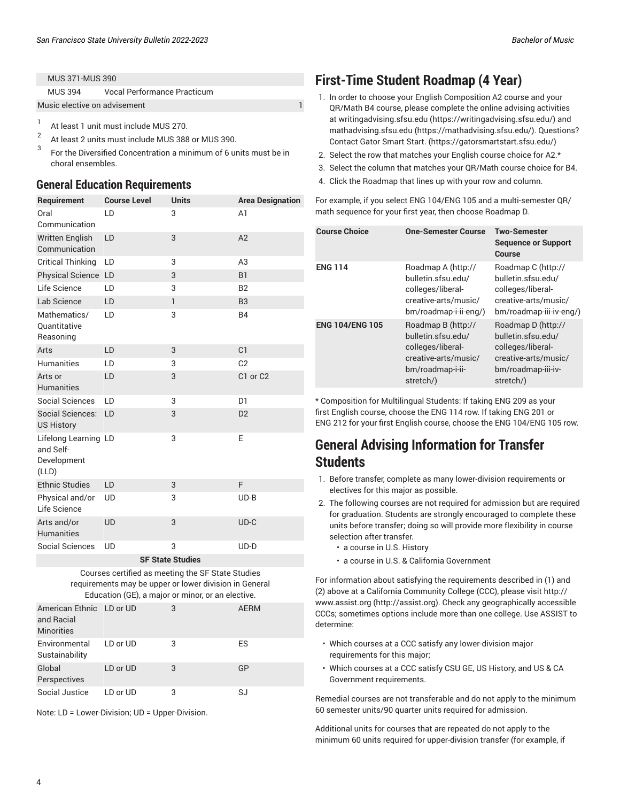| MUS 394                      | <b>Vocal Performance Practicum</b> |  |
|------------------------------|------------------------------------|--|
| Music elective on advisement |                                    |  |

- 1 At least 1 unit must include MUS 270.
- $\overline{2}$ At least 2 units must include MUS 388 or MUS 390.
- 3 For the Diversified Concentration a minimum of 6 units must be in choral ensembles.

#### **General Education Requirements**

| Requirement                                               | <b>Course Level</b> | <b>Units</b> | <b>Area Designation</b> |
|-----------------------------------------------------------|---------------------|--------------|-------------------------|
| Oral<br>Communication                                     | LD                  | 3            | A <sub>1</sub>          |
| <b>Written English</b><br>Communication                   | LD                  | 3            | A2                      |
| <b>Critical Thinking</b>                                  | LD                  | 3            | A <sub>3</sub>          |
| Physical Science LD                                       |                     | 3            | <b>B1</b>               |
| Life Science                                              | LD                  | 3            | B <sub>2</sub>          |
| Lab Science                                               | <b>LD</b>           | $\mathbf{1}$ | B <sub>3</sub>          |
| Mathematics/<br>Quantitative<br>Reasoning                 | LD                  | 3            | <b>B4</b>               |
| Arts                                                      | <b>LD</b>           | 3            | C1                      |
| <b>Humanities</b>                                         | <b>LD</b>           | 3            | C <sub>2</sub>          |
| Arts or<br><b>Humanities</b>                              | LD                  | 3            | C1 or C2                |
| Social Sciences                                           | LD                  | 3            | D <sub>1</sub>          |
| Social Sciences:<br><b>US History</b>                     | LD                  | 3            | D <sub>2</sub>          |
| Lifelong Learning LD<br>and Self-<br>Development<br>(LLD) |                     | 3            | E                       |
| <b>Ethnic Studies</b>                                     | <b>LD</b>           | 3            | F                       |
| Physical and/or<br>Life Science                           | <b>UD</b>           | 3            | $UD-B$                  |
| Arts and/or<br><b>Humanities</b>                          | <b>UD</b>           | 3            | $UD-C$                  |
| <b>Social Sciences</b>                                    | UD                  | 3            | $UD-D$                  |
|                                                           |                     |              |                         |

#### **SF State Studies**

Courses certified as meeting the SF State Studies requirements may be upper or lower division in General Education (GE), a major or minor, or an elective.

| American Ethnic LD or UD<br>and Racial<br><b>Minorities</b> |          | 3 | <b>AERM</b> |
|-------------------------------------------------------------|----------|---|-------------|
| Environmental<br>Sustainability                             | LD or UD | 3 | ES          |
| Global<br>Perspectives                                      | LD or UD | 3 | GP          |
| Social Justice                                              | LD or UD | 3 | SJ          |

Note: LD = Lower-Division; UD = Upper-Division.

# **First-Time Student Roadmap (4 Year)**

- 1. In order to choose your English Composition A2 course and your QR/Math B4 course, please complete the online advising activities at [writingadvising.sfsu.edu \(https://writingadvising.sfsu.edu/](https://writingadvising.sfsu.edu/)) and [mathadvising.sfsu.edu \(https://mathadvising.sfsu.edu/](https://mathadvising.sfsu.edu/)). Questions? Contact Gator [Smart](https://gatorsmartstart.sfsu.edu/) Start. ([https://gatorsmartstart.sfsu.edu/\)](https://gatorsmartstart.sfsu.edu/)
- 2. Select the row that matches your English course choice for A2.\*
- 3. Select the column that matches your QR/Math course choice for B4.
- 4. Click the Roadmap that lines up with your row and column.

For example, if you select ENG 104/ENG 105 and a multi-semester QR/ math sequence for your first year, then choose Roadmap D.

| <b>Course Choice</b>   | One-Semester Course                                                                                                    | <b>Two-Semester</b><br><b>Sequence or Support</b><br>Course                                                              |
|------------------------|------------------------------------------------------------------------------------------------------------------------|--------------------------------------------------------------------------------------------------------------------------|
| <b>ENG 114</b>         | Roadmap A (http://<br>bulletin.sfsu.edu/<br>colleges/liberal-<br>creative-arts/music/<br>bm/roadmap-i-ii-eng/)         | Roadmap C (http://<br>bulletin.sfsu.edu/<br>colleges/liberal-<br>creative-arts/music/<br>bm/roadmap-iii-iv-eng/)         |
| <b>ENG 104/ENG 105</b> | Roadmap B (http://<br>bulletin.sfsu.edu/<br>colleges/liberal-<br>creative-arts/music/<br>bm/roadmap-i-ii-<br>stretch/) | Roadmap D (http://<br>bulletin.sfsu.edu/<br>colleges/liberal-<br>creative-arts/music/<br>bm/roadmap-iii-iv-<br>stretch/) |

\* Composition for Multilingual Students: If taking ENG 209 as your first English course, choose the ENG 114 row. If taking ENG 201 or ENG 212 for your first English course, choose the ENG 104/ENG 105 row.

## **General Advising Information for Transfer Students**

- 1. Before transfer, complete as many lower-division requirements or electives for this major as possible.
- 2. The following courses are not required for admission but are required for graduation. Students are strongly encouraged to complete these units before transfer; doing so will provide more flexibility in course selection after transfer.
	- a course in U.S. History
	- a course in U.S. & California Government

For information about satisfying the requirements described in (1) and (2) above at a California Community College (CCC), please visit [http://](http://assist.org) [www.assist.org \(http://assist.org](http://assist.org)). Check any geographically accessible CCCs; sometimes options include more than one college. Use ASSIST to determine:

- Which courses at a CCC satisfy any lower-division major requirements for this major;
- Which courses at a CCC satisfy CSU GE, US History, and US & CA Government requirements.

Remedial courses are not transferable and do not apply to the minimum 60 semester units/90 quarter units required for admission.

Additional units for courses that are repeated do not apply to the minimum 60 units required for upper-division transfer (for example, if